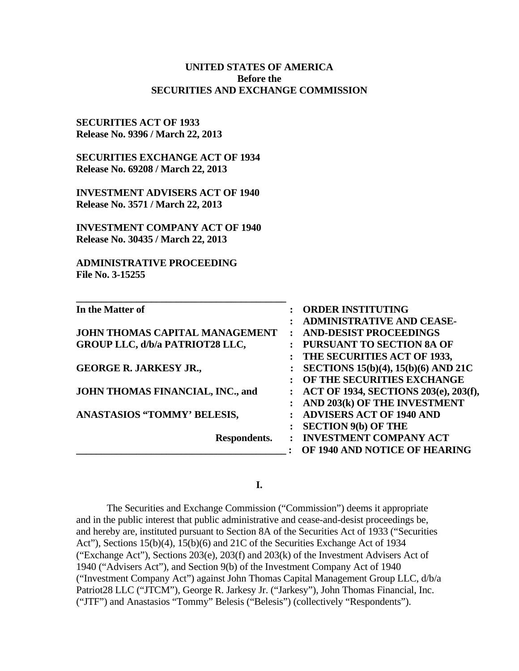| <b>Before the</b><br><b>SECURITIES AND EXCHANGE COMMISSION</b>                                                                                     |                                                                                                         |
|----------------------------------------------------------------------------------------------------------------------------------------------------|---------------------------------------------------------------------------------------------------------|
| <b>SECURITIES ACT OF 1933</b><br>Release No. 9396 / March 22, 2013<br><b>SECURITIES EXCHANGE ACT OF 1934</b><br>Release No. 69208 / March 22, 2013 |                                                                                                         |
| <b>INVESTMENT ADVISERS ACT OF 1940</b><br>Release No. 3571 / March 22, 2013                                                                        |                                                                                                         |
| <b>INVESTMENT COMPANY ACT OF 1940</b><br>Release No. 30435 / March 22, 2013                                                                        |                                                                                                         |
| <b>ADMINISTRATIVE PROCEEDING</b><br>File No. 3-15255                                                                                               |                                                                                                         |
| In the Matter of                                                                                                                                   | <b>ORDER INSTITUTING</b><br>$\ddot{\cdot}$<br><b>ADMINISTRATIVE AND CEASE-</b><br>:                     |
| JOHN THOMAS CAPITAL MANAGEMENT<br><b>GROUP LLC, d/b/a PATRIOT28 LLC,</b>                                                                           | <b>AND-DESIST PROCEEDINGS</b><br>$\ddot{\cdot}$<br>PURSUANT TO SECTION 8A OF                            |
| <b>GEORGE R. JARKESY JR.,</b>                                                                                                                      | THE SECURITIES ACT OF 1933,<br><b>SECTIONS 15(b)(4), 15(b)(6) AND 21C</b><br>OF THE SECURITIES EXCHANGE |
| JOHN THOMAS FINANCIAL, INC., and                                                                                                                   | ACT OF 1934, SECTIONS 203(e), 203(f),<br>$\ddot{\cdot}$<br>AND 203(k) OF THE INVESTMENT                 |
| <b>ANASTASIOS "TOMMY' BELESIS,</b>                                                                                                                 | <b>ADVISERS ACT OF 1940 AND</b><br>$\ddot{\cdot}$                                                       |
| Respondents.                                                                                                                                       | <b>SECTION 9(b) OF THE</b><br>: INVESTMENT COMPANY ACT                                                  |

**UNITED STATES OF AMERICA**

## **I.**

The Securities and Exchange Commission ("Commission") deems it appropriate and in the public interest that public administrative and cease-and-desist proceedings be, and hereby are, instituted pursuant to Section 8A of the Securities Act of 1933 ("Securities Act"), Sections 15(b)(4), 15(b)(6) and 21C of the Securities Exchange Act of 1934 ("Exchange Act"), Sections  $203(e)$ ,  $203(f)$  and  $203(k)$  of the Investment Advisers Act of 1940 ("Advisers Act"), and Section 9(b) of the Investment Company Act of 1940 ("Investment Company Act") against John Thomas Capital Management Group LLC, d/b/a Patriot28 LLC ("JTCM"), George R. Jarkesy Jr. ("Jarkesy"), John Thomas Financial, Inc. ("JTF") and Anastasios "Tommy" Belesis ("Belesis") (collectively "Respondents").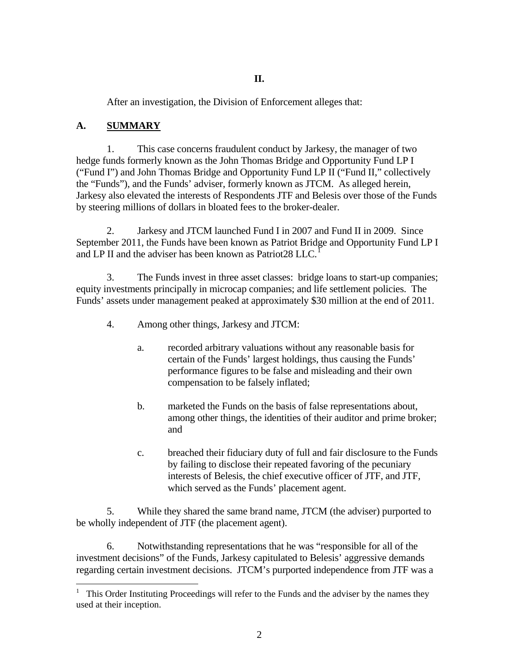After an investigation, the Division of Enforcement alleges that:

# **A. SUMMARY**

1. This case concerns fraudulent conduct by Jarkesy, the manager of two hedge funds formerly known as the John Thomas Bridge and Opportunity Fund LP I ("Fund I") and John Thomas Bridge and Opportunity Fund LP II ("Fund II," collectively the "Funds"), and the Funds' adviser, formerly known as JTCM. As alleged herein, Jarkesy also elevated the interests of Respondents JTF and Belesis over those of the Funds by steering millions of dollars in bloated fees to the broker-dealer.

2. Jarkesy and JTCM launched Fund I in 2007 and Fund II in 2009. Since September 2011, the Funds have been known as Patriot Bridge and Opportunity Fund LP I and LP II and the adviser has been known as Patriot28 LLC.<sup>1</sup>

3. The Funds invest in three asset classes: bridge loans to start-up companies; equity investments principally in microcap companies; and life settlement policies. The Funds' assets under management peaked at approximately \$30 million at the end of 2011.

- 4. Among other things, Jarkesy and JTCM:
	- a. recorded arbitrary valuations without any reasonable basis for certain of the Funds' largest holdings, thus causing the Funds' performance figures to be false and misleading and their own compensation to be falsely inflated;
	- b. marketed the Funds on the basis of false representations about, among other things, the identities of their auditor and prime broker; and
	- c. breached their fiduciary duty of full and fair disclosure to the Funds by failing to disclose their repeated favoring of the pecuniary interests of Belesis, the chief executive officer of JTF, and JTF, which served as the Funds' placement agent.

5. While they shared the same brand name, JTCM (the adviser) purported to be wholly independent of JTF (the placement agent).

6. Notwithstanding representations that he was "responsible for all of the investment decisions" of the Funds, Jarkesy capitulated to Belesis' aggressive demands regarding certain investment decisions. JTCM's purported independence from JTF was a

 $\frac{1}{1}$  This Order Instituting Proceedings will refer to the Funds and the adviser by the names they used at their inception.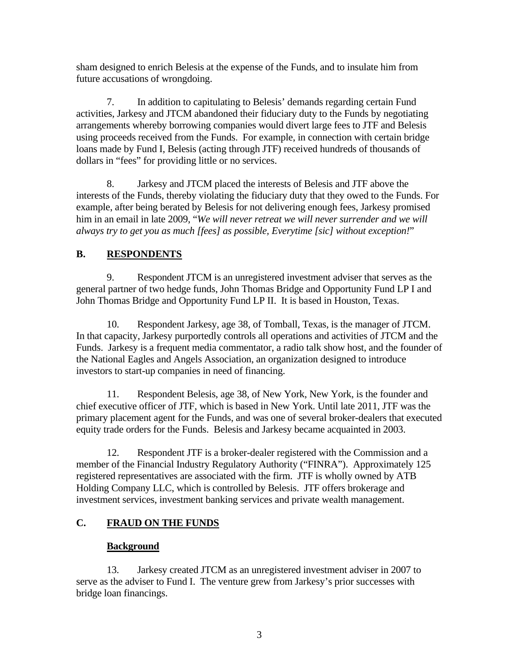sham designed to enrich Belesis at the expense of the Funds, and to insulate him from future accusations of wrongdoing.

7. In addition to capitulating to Belesis' demands regarding certain Fund activities, Jarkesy and JTCM abandoned their fiduciary duty to the Funds by negotiating arrangements whereby borrowing companies would divert large fees to JTF and Belesis using proceeds received from the Funds. For example, in connection with certain bridge loans made by Fund I, Belesis (acting through JTF) received hundreds of thousands of dollars in "fees" for providing little or no services.

8. Jarkesy and JTCM placed the interests of Belesis and JTF above the interests of the Funds, thereby violating the fiduciary duty that they owed to the Funds. For example, after being berated by Belesis for not delivering enough fees, Jarkesy promised him in an email in late 2009, "*We will never retreat we will never surrender and we will always try to get you as much [fees] as possible, Everytime [sic] without exception!*"

# **B. RESPONDENTS**

9. Respondent JTCM is an unregistered investment adviser that serves as the general partner of two hedge funds, John Thomas Bridge and Opportunity Fund LP I and John Thomas Bridge and Opportunity Fund LP II. It is based in Houston, Texas.

10. Respondent Jarkesy, age 38, of Tomball, Texas, is the manager of JTCM. In that capacity, Jarkesy purportedly controls all operations and activities of JTCM and the Funds. Jarkesy is a frequent media commentator, a radio talk show host, and the founder of the National Eagles and Angels Association, an organization designed to introduce investors to start-up companies in need of financing.

11. Respondent Belesis, age 38, of New York, New York, is the founder and chief executive officer of JTF, which is based in New York. Until late 2011, JTF was the primary placement agent for the Funds, and was one of several broker-dealers that executed equity trade orders for the Funds. Belesis and Jarkesy became acquainted in 2003.

12. Respondent JTF is a broker-dealer registered with the Commission and a member of the Financial Industry Regulatory Authority ("FINRA"). Approximately 125 registered representatives are associated with the firm. JTF is wholly owned by ATB Holding Company LLC, which is controlled by Belesis. JTF offers brokerage and investment services, investment banking services and private wealth management.

## **C. FRAUD ON THE FUNDS**

## **Background**

13. Jarkesy created JTCM as an unregistered investment adviser in 2007 to serve as the adviser to Fund I. The venture grew from Jarkesy's prior successes with bridge loan financings.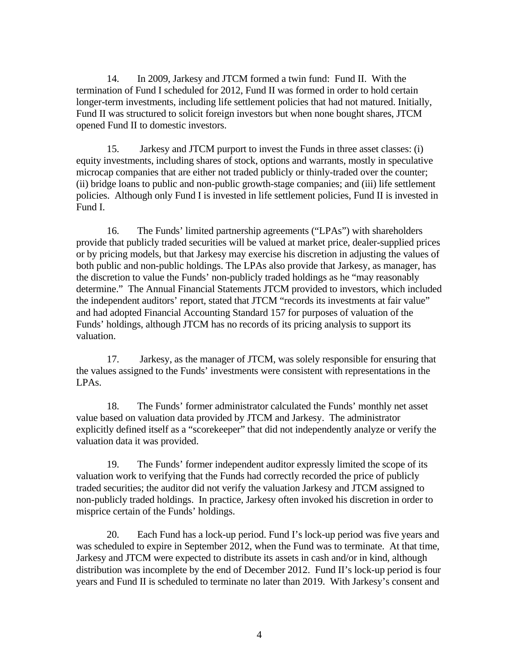14. In 2009, Jarkesy and JTCM formed a twin fund: Fund II. With the termination of Fund I scheduled for 2012, Fund II was formed in order to hold certain longer-term investments, including life settlement policies that had not matured. Initially, Fund II was structured to solicit foreign investors but when none bought shares, JTCM opened Fund II to domestic investors.

15. Jarkesy and JTCM purport to invest the Funds in three asset classes: (i) equity investments, including shares of stock, options and warrants, mostly in speculative microcap companies that are either not traded publicly or thinly-traded over the counter; (ii) bridge loans to public and non-public growth-stage companies; and (iii) life settlement policies. Although only Fund I is invested in life settlement policies, Fund II is invested in Fund I.

16. The Funds' limited partnership agreements ("LPAs") with shareholders provide that publicly traded securities will be valued at market price, dealer-supplied prices or by pricing models, but that Jarkesy may exercise his discretion in adjusting the values of both public and non-public holdings. The LPAs also provide that Jarkesy, as manager, has the discretion to value the Funds' non-publicly traded holdings as he "may reasonably determine." The Annual Financial Statements JTCM provided to investors, which included the independent auditors' report, stated that JTCM "records its investments at fair value" and had adopted Financial Accounting Standard 157 for purposes of valuation of the Funds' holdings, although JTCM has no records of its pricing analysis to support its valuation.

17. Jarkesy, as the manager of JTCM, was solely responsible for ensuring that the values assigned to the Funds' investments were consistent with representations in the LPAs.

18. The Funds' former administrator calculated the Funds' monthly net asset value based on valuation data provided by JTCM and Jarkesy. The administrator explicitly defined itself as a "scorekeeper" that did not independently analyze or verify the valuation data it was provided.

19. The Funds' former independent auditor expressly limited the scope of its valuation work to verifying that the Funds had correctly recorded the price of publicly traded securities; the auditor did not verify the valuation Jarkesy and JTCM assigned to non-publicly traded holdings. In practice, Jarkesy often invoked his discretion in order to misprice certain of the Funds' holdings.

20. Each Fund has a lock-up period. Fund I's lock-up period was five years and was scheduled to expire in September 2012, when the Fund was to terminate. At that time, Jarkesy and JTCM were expected to distribute its assets in cash and/or in kind, although distribution was incomplete by the end of December 2012. Fund II's lock-up period is four years and Fund II is scheduled to terminate no later than 2019. With Jarkesy's consent and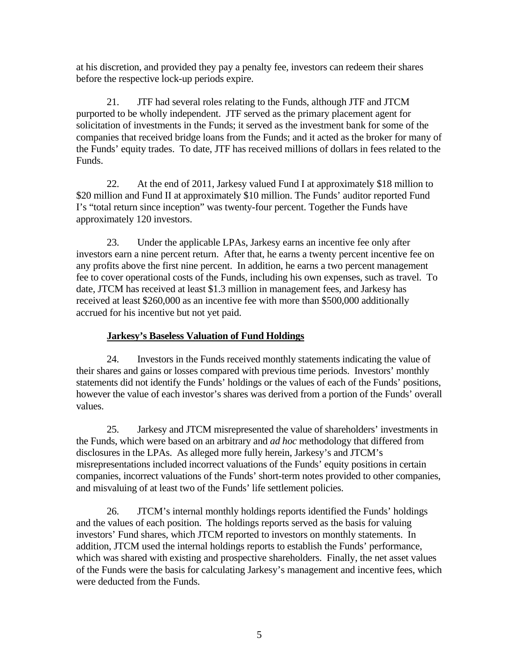at his discretion, and provided they pay a penalty fee, investors can redeem their shares before the respective lock-up periods expire.

21. JTF had several roles relating to the Funds, although JTF and JTCM purported to be wholly independent. JTF served as the primary placement agent for solicitation of investments in the Funds; it served as the investment bank for some of the companies that received bridge loans from the Funds; and it acted as the broker for many of the Funds' equity trades. To date, JTF has received millions of dollars in fees related to the Funds.

22. At the end of 2011, Jarkesy valued Fund I at approximately \$18 million to \$20 million and Fund II at approximately \$10 million. The Funds' auditor reported Fund I's "total return since inception" was twenty-four percent. Together the Funds have approximately 120 investors.

23. Under the applicable LPAs, Jarkesy earns an incentive fee only after investors earn a nine percent return. After that, he earns a twenty percent incentive fee on any profits above the first nine percent. In addition, he earns a two percent management fee to cover operational costs of the Funds, including his own expenses, such as travel. To date, JTCM has received at least \$1.3 million in management fees, and Jarkesy has received at least \$260,000 as an incentive fee with more than \$500,000 additionally accrued for his incentive but not yet paid.

## **Jarkesy's Baseless Valuation of Fund Holdings**

24. Investors in the Funds received monthly statements indicating the value of their shares and gains or losses compared with previous time periods. Investors' monthly statements did not identify the Funds' holdings or the values of each of the Funds' positions, however the value of each investor's shares was derived from a portion of the Funds' overall values.

25. Jarkesy and JTCM misrepresented the value of shareholders' investments in the Funds, which were based on an arbitrary and *ad hoc* methodology that differed from disclosures in the LPAs. As alleged more fully herein, Jarkesy's and JTCM's misrepresentations included incorrect valuations of the Funds' equity positions in certain companies, incorrect valuations of the Funds' short-term notes provided to other companies, and misvaluing of at least two of the Funds' life settlement policies.

26. JTCM's internal monthly holdings reports identified the Funds' holdings and the values of each position. The holdings reports served as the basis for valuing investors' Fund shares, which JTCM reported to investors on monthly statements. In addition, JTCM used the internal holdings reports to establish the Funds' performance, which was shared with existing and prospective shareholders. Finally, the net asset values of the Funds were the basis for calculating Jarkesy's management and incentive fees, which were deducted from the Funds.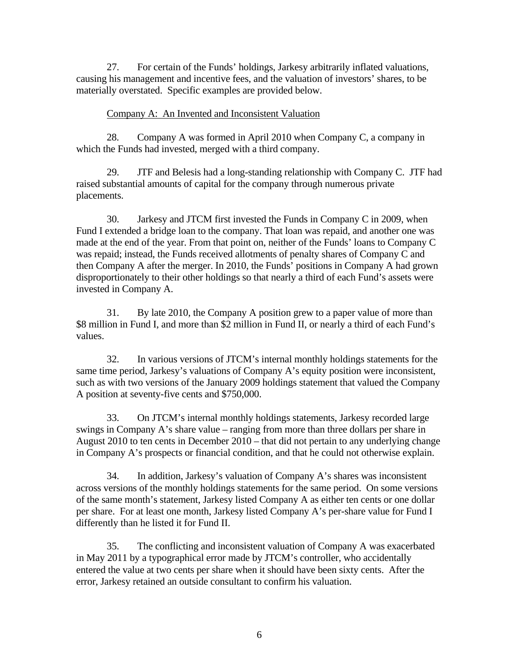27. For certain of the Funds' holdings, Jarkesy arbitrarily inflated valuations, causing his management and incentive fees, and the valuation of investors' shares, to be materially overstated. Specific examples are provided below.

## Company A: An Invented and Inconsistent Valuation

28. Company A was formed in April 2010 when Company C, a company in which the Funds had invested, merged with a third company.

29. JTF and Belesis had a long-standing relationship with Company C. JTF had raised substantial amounts of capital for the company through numerous private placements.

30. Jarkesy and JTCM first invested the Funds in Company C in 2009, when Fund I extended a bridge loan to the company. That loan was repaid, and another one was made at the end of the year. From that point on, neither of the Funds' loans to Company C was repaid; instead, the Funds received allotments of penalty shares of Company C and then Company A after the merger. In 2010, the Funds' positions in Company A had grown disproportionately to their other holdings so that nearly a third of each Fund's assets were invested in Company A.

31. By late 2010, the Company A position grew to a paper value of more than \$8 million in Fund I, and more than \$2 million in Fund II, or nearly a third of each Fund's values.

32. In various versions of JTCM's internal monthly holdings statements for the same time period, Jarkesy's valuations of Company A's equity position were inconsistent, such as with two versions of the January 2009 holdings statement that valued the Company A position at seventy-five cents and \$750,000.

33. On JTCM's internal monthly holdings statements, Jarkesy recorded large swings in Company A's share value – ranging from more than three dollars per share in August 2010 to ten cents in December 2010 – that did not pertain to any underlying change in Company A's prospects or financial condition, and that he could not otherwise explain.

34. In addition, Jarkesy's valuation of Company A's shares was inconsistent across versions of the monthly holdings statements for the same period. On some versions of the same month's statement, Jarkesy listed Company A as either ten cents or one dollar per share. For at least one month, Jarkesy listed Company A's per-share value for Fund I differently than he listed it for Fund II.

35. The conflicting and inconsistent valuation of Company A was exacerbated in May 2011 by a typographical error made by JTCM's controller, who accidentally entered the value at two cents per share when it should have been sixty cents. After the error, Jarkesy retained an outside consultant to confirm his valuation.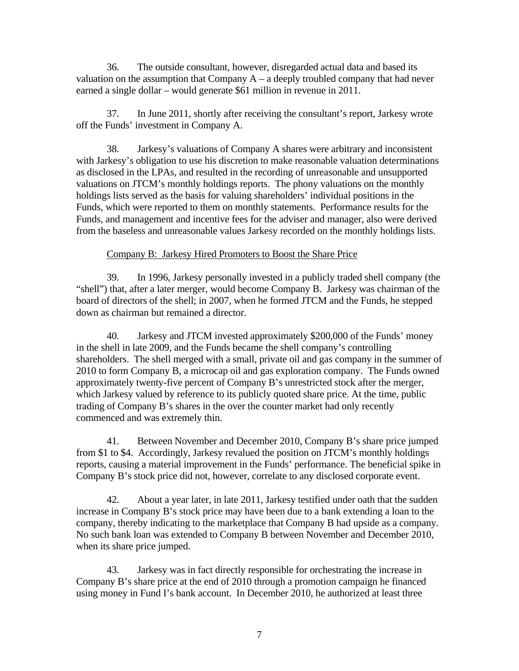36. The outside consultant, however, disregarded actual data and based its valuation on the assumption that Company  $A - a$  deeply troubled company that had never earned a single dollar – would generate \$61 million in revenue in 2011.

37. In June 2011, shortly after receiving the consultant's report, Jarkesy wrote off the Funds' investment in Company A.

38. Jarkesy's valuations of Company A shares were arbitrary and inconsistent with Jarkesy's obligation to use his discretion to make reasonable valuation determinations as disclosed in the LPAs, and resulted in the recording of unreasonable and unsupported valuations on JTCM's monthly holdings reports. The phony valuations on the monthly holdings lists served as the basis for valuing shareholders' individual positions in the Funds, which were reported to them on monthly statements. Performance results for the Funds, and management and incentive fees for the adviser and manager, also were derived from the baseless and unreasonable values Jarkesy recorded on the monthly holdings lists.

## Company B: Jarkesy Hired Promoters to Boost the Share Price

39. In 1996, Jarkesy personally invested in a publicly traded shell company (the "shell") that, after a later merger, would become Company B. Jarkesy was chairman of the board of directors of the shell; in 2007, when he formed JTCM and the Funds, he stepped down as chairman but remained a director.

40. Jarkesy and JTCM invested approximately \$200,000 of the Funds' money in the shell in late 2009, and the Funds became the shell company's controlling shareholders. The shell merged with a small, private oil and gas company in the summer of 2010 to form Company B, a microcap oil and gas exploration company. The Funds owned approximately twenty-five percent of Company B's unrestricted stock after the merger, which Jarkesy valued by reference to its publicly quoted share price. At the time, public trading of Company B's shares in the over the counter market had only recently commenced and was extremely thin.

41. Between November and December 2010, Company B's share price jumped from \$1 to \$4. Accordingly, Jarkesy revalued the position on JTCM's monthly holdings reports, causing a material improvement in the Funds' performance. The beneficial spike in Company B's stock price did not, however, correlate to any disclosed corporate event.

42. About a year later, in late 2011, Jarkesy testified under oath that the sudden increase in Company B's stock price may have been due to a bank extending a loan to the company, thereby indicating to the marketplace that Company B had upside as a company. No such bank loan was extended to Company B between November and December 2010, when its share price jumped.

43. Jarkesy was in fact directly responsible for orchestrating the increase in Company B's share price at the end of 2010 through a promotion campaign he financed using money in Fund I's bank account. In December 2010, he authorized at least three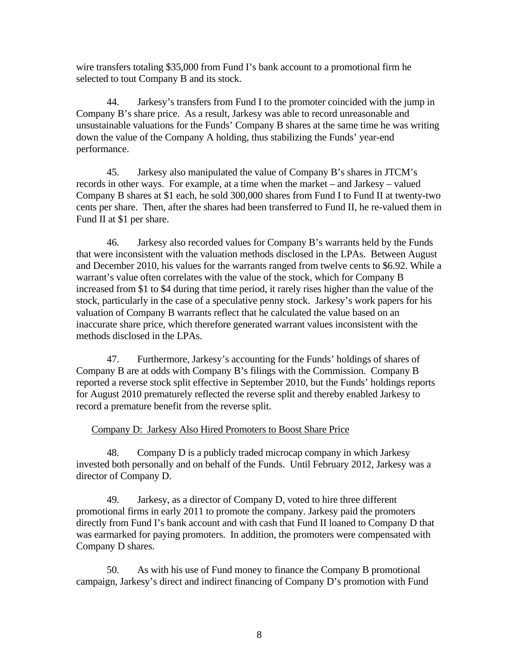wire transfers totaling \$35,000 from Fund I's bank account to a promotional firm he selected to tout Company B and its stock.

44. Jarkesy's transfers from Fund I to the promoter coincided with the jump in Company B's share price. As a result, Jarkesy was able to record unreasonable and unsustainable valuations for the Funds' Company B shares at the same time he was writing down the value of the Company A holding, thus stabilizing the Funds' year-end performance.

45. Jarkesy also manipulated the value of Company B's shares in JTCM's records in other ways. For example, at a time when the market – and Jarkesy – valued Company B shares at \$1 each, he sold 300,000 shares from Fund I to Fund II at twenty-two cents per share. Then, after the shares had been transferred to Fund II, he re-valued them in Fund II at \$1 per share.

46. Jarkesy also recorded values for Company B's warrants held by the Funds that were inconsistent with the valuation methods disclosed in the LPAs. Between August and December 2010, his values for the warrants ranged from twelve cents to \$6.92. While a warrant's value often correlates with the value of the stock, which for Company B increased from \$1 to \$4 during that time period, it rarely rises higher than the value of the stock, particularly in the case of a speculative penny stock. Jarkesy's work papers for his valuation of Company B warrants reflect that he calculated the value based on an inaccurate share price, which therefore generated warrant values inconsistent with the methods disclosed in the LPAs.

47. Furthermore, Jarkesy's accounting for the Funds' holdings of shares of Company B are at odds with Company B's filings with the Commission. Company B reported a reverse stock split effective in September 2010, but the Funds' holdings reports for August 2010 prematurely reflected the reverse split and thereby enabled Jarkesy to record a premature benefit from the reverse split.

## Company D: Jarkesy Also Hired Promoters to Boost Share Price

48. Company D is a publicly traded microcap company in which Jarkesy invested both personally and on behalf of the Funds. Until February 2012, Jarkesy was a director of Company D.

49. Jarkesy, as a director of Company D, voted to hire three different promotional firms in early 2011 to promote the company. Jarkesy paid the promoters directly from Fund I's bank account and with cash that Fund II loaned to Company D that was earmarked for paying promoters. In addition, the promoters were compensated with Company D shares.

50. As with his use of Fund money to finance the Company B promotional campaign, Jarkesy's direct and indirect financing of Company D's promotion with Fund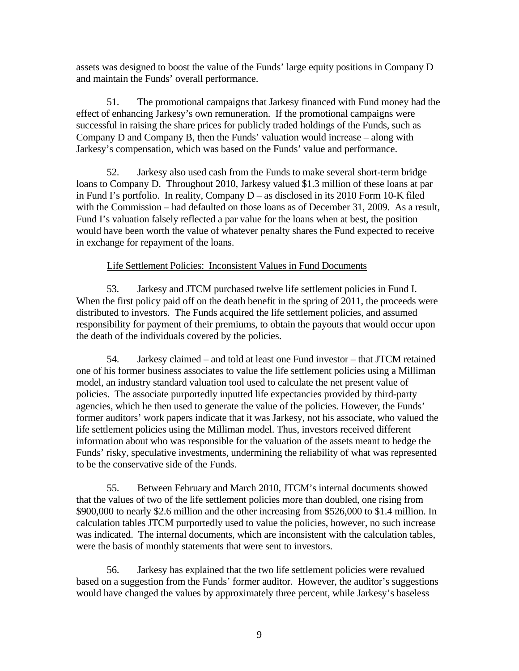assets was designed to boost the value of the Funds' large equity positions in Company D and maintain the Funds' overall performance.

51. The promotional campaigns that Jarkesy financed with Fund money had the effect of enhancing Jarkesy's own remuneration. If the promotional campaigns were successful in raising the share prices for publicly traded holdings of the Funds, such as Company D and Company B, then the Funds' valuation would increase – along with Jarkesy's compensation, which was based on the Funds' value and performance.

52. Jarkesy also used cash from the Funds to make several short-term bridge loans to Company D. Throughout 2010, Jarkesy valued \$1.3 million of these loans at par in Fund I's portfolio. In reality, Company D – as disclosed in its 2010 Form 10-K filed with the Commission – had defaulted on those loans as of December 31, 2009. As a result, Fund I's valuation falsely reflected a par value for the loans when at best, the position would have been worth the value of whatever penalty shares the Fund expected to receive in exchange for repayment of the loans.

## Life Settlement Policies: Inconsistent Values in Fund Documents

53. Jarkesy and JTCM purchased twelve life settlement policies in Fund I. When the first policy paid off on the death benefit in the spring of 2011, the proceeds were distributed to investors. The Funds acquired the life settlement policies, and assumed responsibility for payment of their premiums, to obtain the payouts that would occur upon the death of the individuals covered by the policies.

54. Jarkesy claimed – and told at least one Fund investor – that JTCM retained one of his former business associates to value the life settlement policies using a Milliman model, an industry standard valuation tool used to calculate the net present value of policies. The associate purportedly inputted life expectancies provided by third-party agencies, which he then used to generate the value of the policies. However, the Funds' former auditors' work papers indicate that it was Jarkesy, not his associate, who valued the life settlement policies using the Milliman model. Thus, investors received different information about who was responsible for the valuation of the assets meant to hedge the Funds' risky, speculative investments, undermining the reliability of what was represented to be the conservative side of the Funds.

55. Between February and March 2010, JTCM's internal documents showed that the values of two of the life settlement policies more than doubled, one rising from \$900,000 to nearly \$2.6 million and the other increasing from \$526,000 to \$1.4 million. In calculation tables JTCM purportedly used to value the policies, however, no such increase was indicated. The internal documents, which are inconsistent with the calculation tables, were the basis of monthly statements that were sent to investors.

56. Jarkesy has explained that the two life settlement policies were revalued based on a suggestion from the Funds' former auditor. However, the auditor's suggestions would have changed the values by approximately three percent, while Jarkesy's baseless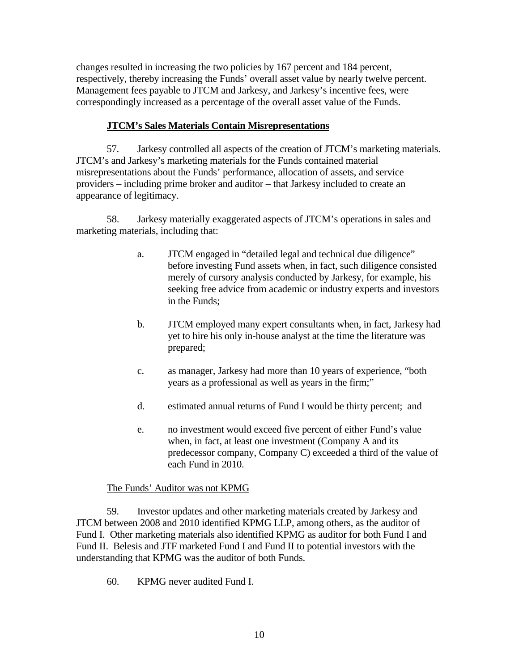changes resulted in increasing the two policies by 167 percent and 184 percent, respectively, thereby increasing the Funds' overall asset value by nearly twelve percent. Management fees payable to JTCM and Jarkesy, and Jarkesy's incentive fees, were correspondingly increased as a percentage of the overall asset value of the Funds.

## **JTCM's Sales Materials Contain Misrepresentations**

57. Jarkesy controlled all aspects of the creation of JTCM's marketing materials. JTCM's and Jarkesy's marketing materials for the Funds contained material misrepresentations about the Funds' performance, allocation of assets, and service providers – including prime broker and auditor – that Jarkesy included to create an appearance of legitimacy.

58. Jarkesy materially exaggerated aspects of JTCM's operations in sales and marketing materials, including that:

- a. JTCM engaged in "detailed legal and technical due diligence" before investing Fund assets when, in fact, such diligence consisted merely of cursory analysis conducted by Jarkesy, for example, his seeking free advice from academic or industry experts and investors in the Funds;
- b. JTCM employed many expert consultants when, in fact, Jarkesy had yet to hire his only in-house analyst at the time the literature was prepared;
- c. as manager, Jarkesy had more than 10 years of experience, "both years as a professional as well as years in the firm;"
- d. estimated annual returns of Fund I would be thirty percent; and
- e. no investment would exceed five percent of either Fund's value when, in fact, at least one investment (Company A and its predecessor company, Company C) exceeded a third of the value of each Fund in 2010.

## The Funds' Auditor was not KPMG

59. Investor updates and other marketing materials created by Jarkesy and JTCM between 2008 and 2010 identified KPMG LLP, among others, as the auditor of Fund I. Other marketing materials also identified KPMG as auditor for both Fund I and Fund II. Belesis and JTF marketed Fund I and Fund II to potential investors with the understanding that KPMG was the auditor of both Funds.

60. KPMG never audited Fund I.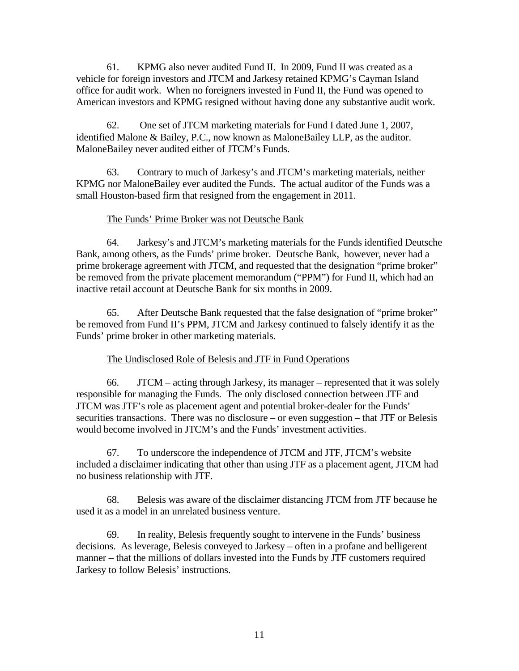61. KPMG also never audited Fund II. In 2009, Fund II was created as a vehicle for foreign investors and JTCM and Jarkesy retained KPMG's Cayman Island office for audit work. When no foreigners invested in Fund II, the Fund was opened to American investors and KPMG resigned without having done any substantive audit work.

62. One set of JTCM marketing materials for Fund I dated June 1, 2007, identified Malone & Bailey, P.C., now known as MaloneBailey LLP, as the auditor. MaloneBailey never audited either of JTCM's Funds.

63. Contrary to much of Jarkesy's and JTCM's marketing materials, neither KPMG nor MaloneBailey ever audited the Funds. The actual auditor of the Funds was a small Houston-based firm that resigned from the engagement in 2011.

## The Funds' Prime Broker was not Deutsche Bank

64. Jarkesy's and JTCM's marketing materials for the Funds identified Deutsche Bank, among others, as the Funds' prime broker. Deutsche Bank, however, never had a prime brokerage agreement with JTCM, and requested that the designation "prime broker" be removed from the private placement memorandum ("PPM") for Fund II, which had an inactive retail account at Deutsche Bank for six months in 2009.

65. After Deutsche Bank requested that the false designation of "prime broker" be removed from Fund II's PPM, JTCM and Jarkesy continued to falsely identify it as the Funds' prime broker in other marketing materials.

## The Undisclosed Role of Belesis and JTF in Fund Operations

66. JTCM – acting through Jarkesy, its manager – represented that it was solely responsible for managing the Funds. The only disclosed connection between JTF and JTCM was JTF's role as placement agent and potential broker-dealer for the Funds' securities transactions. There was no disclosure – or even suggestion – that JTF or Belesis would become involved in JTCM's and the Funds' investment activities.

67. To underscore the independence of JTCM and JTF, JTCM's website included a disclaimer indicating that other than using JTF as a placement agent, JTCM had no business relationship with JTF.

68. Belesis was aware of the disclaimer distancing JTCM from JTF because he used it as a model in an unrelated business venture.

69. In reality, Belesis frequently sought to intervene in the Funds' business decisions. As leverage, Belesis conveyed to Jarkesy – often in a profane and belligerent manner – that the millions of dollars invested into the Funds by JTF customers required Jarkesy to follow Belesis' instructions.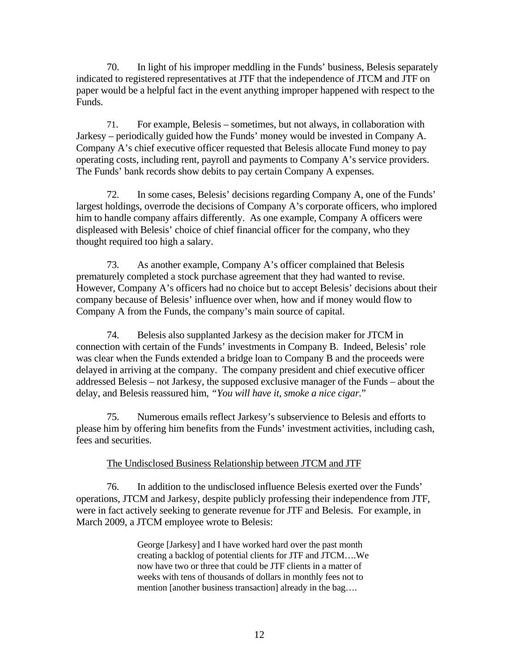70. In light of his improper meddling in the Funds' business, Belesis separately indicated to registered representatives at JTF that the independence of JTCM and JTF on paper would be a helpful fact in the event anything improper happened with respect to the Funds.

71. For example, Belesis – sometimes, but not always, in collaboration with Jarkesy – periodically guided how the Funds' money would be invested in Company A. Company A's chief executive officer requested that Belesis allocate Fund money to pay operating costs, including rent, payroll and payments to Company A's service providers. The Funds' bank records show debits to pay certain Company A expenses.

72. In some cases, Belesis' decisions regarding Company A, one of the Funds' largest holdings, overrode the decisions of Company A's corporate officers, who implored him to handle company affairs differently. As one example, Company A officers were displeased with Belesis' choice of chief financial officer for the company, who they thought required too high a salary.

73. As another example, Company A's officer complained that Belesis prematurely completed a stock purchase agreement that they had wanted to revise. However, Company A's officers had no choice but to accept Belesis' decisions about their company because of Belesis' influence over when, how and if money would flow to Company A from the Funds, the company's main source of capital.

74. Belesis also supplanted Jarkesy as the decision maker for JTCM in connection with certain of the Funds' investments in Company B. Indeed, Belesis' role was clear when the Funds extended a bridge loan to Company B and the proceeds were delayed in arriving at the company. The company president and chief executive officer addressed Belesis – not Jarkesy, the supposed exclusive manager of the Funds – about the delay, and Belesis reassured him, *"You will have it, smoke a nice cigar.*"

75. Numerous emails reflect Jarkesy's subservience to Belesis and efforts to please him by offering him benefits from the Funds' investment activities, including cash, fees and securities.

## The Undisclosed Business Relationship between JTCM and JTF

76. In addition to the undisclosed influence Belesis exerted over the Funds' operations, JTCM and Jarkesy, despite publicly professing their independence from JTF, were in fact actively seeking to generate revenue for JTF and Belesis. For example, in March 2009, a JTCM employee wrote to Belesis:

> George [Jarkesy] and I have worked hard over the past month creating a backlog of potential clients for JTF and JTCM….We now have two or three that could be JTF clients in a matter of weeks with tens of thousands of dollars in monthly fees not to mention [another business transaction] already in the bag….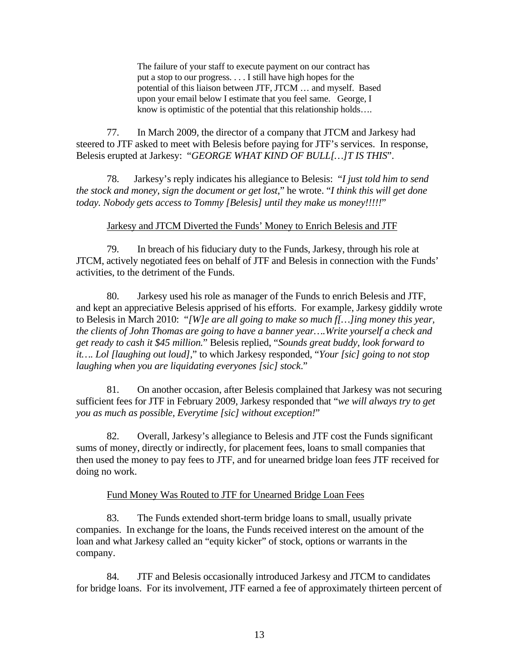The failure of your staff to execute payment on our contract has put a stop to our progress. . . . I still have high hopes for the potential of this liaison between JTF, JTCM … and myself. Based upon your email below I estimate that you feel same. George, I know is optimistic of the potential that this relationship holds….

77. In March 2009, the director of a company that JTCM and Jarkesy had steered to JTF asked to meet with Belesis before paying for JTF's services. In response, Belesis erupted at Jarkesy: "*GEORGE WHAT KIND OF BULL[…]T IS THIS*".

78. Jarkesy's reply indicates his allegiance to Belesis:"*I just told him to send the stock and money, sign the document or get lost*," he wrote. "*I think this will get done today. Nobody gets access to Tommy [Belesis] until they make us money!!!!!*"

#### Jarkesy and JTCM Diverted the Funds' Money to Enrich Belesis and JTF

79. In breach of his fiduciary duty to the Funds, Jarkesy, through his role at JTCM, actively negotiated fees on behalf of JTF and Belesis in connection with the Funds' activities, to the detriment of the Funds.

80. Jarkesy used his role as manager of the Funds to enrich Belesis and JTF, and kept an appreciative Belesis apprised of his efforts. For example, Jarkesy giddily wrote to Belesis in March 2010: "*[W]e are all going to make so much f[…]ing money this year, the clients of John Thomas are going to have a banner year….Write yourself a check and get ready to cash it \$45 million.*" Belesis replied, "*Sounds great buddy, look forward to it…. Lol [laughing out loud],*" to which Jarkesy responded, "*Your [sic] going to not stop laughing when you are liquidating everyones [sic] stock*."

81. On another occasion, after Belesis complained that Jarkesy was not securing sufficient fees for JTF in February 2009, Jarkesy responded that "*we will always try to get you as much as possible, Everytime [sic] without exception!*"

82. Overall, Jarkesy's allegiance to Belesis and JTF cost the Funds significant sums of money, directly or indirectly, for placement fees, loans to small companies that then used the money to pay fees to JTF, and for unearned bridge loan fees JTF received for doing no work.

## Fund Money Was Routed to JTF for Unearned Bridge Loan Fees

83. The Funds extended short-term bridge loans to small, usually private companies. In exchange for the loans, the Funds received interest on the amount of the loan and what Jarkesy called an "equity kicker" of stock, options or warrants in the company.

84. JTF and Belesis occasionally introduced Jarkesy and JTCM to candidates for bridge loans. For its involvement, JTF earned a fee of approximately thirteen percent of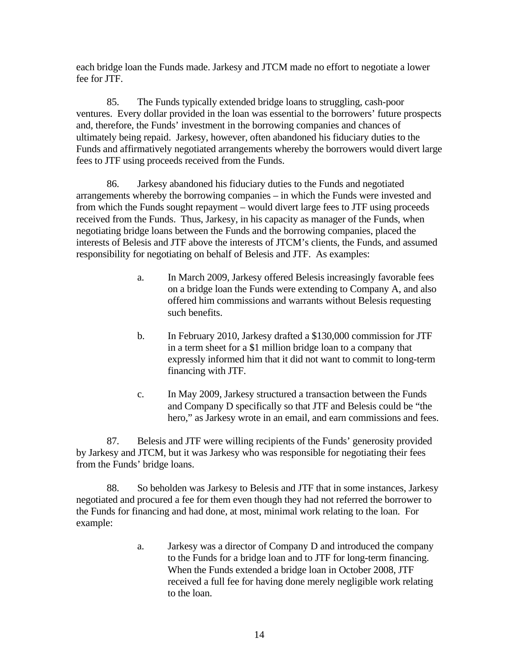each bridge loan the Funds made. Jarkesy and JTCM made no effort to negotiate a lower fee for JTF.

85. The Funds typically extended bridge loans to struggling, cash-poor ventures. Every dollar provided in the loan was essential to the borrowers' future prospects and, therefore, the Funds' investment in the borrowing companies and chances of ultimately being repaid. Jarkesy, however, often abandoned his fiduciary duties to the Funds and affirmatively negotiated arrangements whereby the borrowers would divert large fees to JTF using proceeds received from the Funds.

86. Jarkesy abandoned his fiduciary duties to the Funds and negotiated arrangements whereby the borrowing companies – in which the Funds were invested and from which the Funds sought repayment – would divert large fees to JTF using proceeds received from the Funds. Thus, Jarkesy, in his capacity as manager of the Funds, when negotiating bridge loans between the Funds and the borrowing companies, placed the interests of Belesis and JTF above the interests of JTCM's clients, the Funds, and assumed responsibility for negotiating on behalf of Belesis and JTF. As examples:

- a. In March 2009, Jarkesy offered Belesis increasingly favorable fees on a bridge loan the Funds were extending to Company A, and also offered him commissions and warrants without Belesis requesting such benefits.
- b. In February 2010, Jarkesy drafted a \$130,000 commission for JTF in a term sheet for a \$1 million bridge loan to a company that expressly informed him that it did not want to commit to long-term financing with JTF.
- c. In May 2009, Jarkesy structured a transaction between the Funds and Company D specifically so that JTF and Belesis could be "the hero," as Jarkesy wrote in an email, and earn commissions and fees.

87. Belesis and JTF were willing recipients of the Funds' generosity provided by Jarkesy and JTCM, but it was Jarkesy who was responsible for negotiating their fees from the Funds' bridge loans.

88. So beholden was Jarkesy to Belesis and JTF that in some instances, Jarkesy negotiated and procured a fee for them even though they had not referred the borrower to the Funds for financing and had done, at most, minimal work relating to the loan. For example:

> a. Jarkesy was a director of Company D and introduced the company to the Funds for a bridge loan and to JTF for long-term financing. When the Funds extended a bridge loan in October 2008, JTF received a full fee for having done merely negligible work relating to the loan.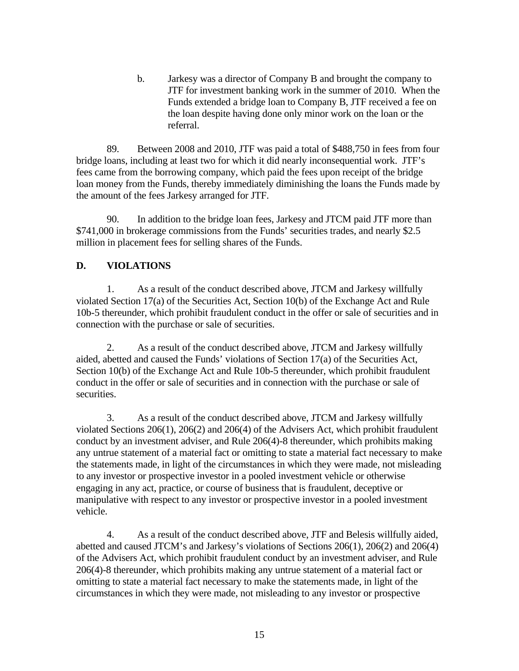b. Jarkesy was a director of Company B and brought the company to JTF for investment banking work in the summer of 2010. When the Funds extended a bridge loan to Company B, JTF received a fee on the loan despite having done only minor work on the loan or the referral.

89. Between 2008 and 2010, JTF was paid a total of \$488,750 in fees from four bridge loans, including at least two for which it did nearly inconsequential work. JTF's fees came from the borrowing company, which paid the fees upon receipt of the bridge loan money from the Funds, thereby immediately diminishing the loans the Funds made by the amount of the fees Jarkesy arranged for JTF.

90. In addition to the bridge loan fees, Jarkesy and JTCM paid JTF more than \$741,000 in brokerage commissions from the Funds' securities trades, and nearly \$2.5 million in placement fees for selling shares of the Funds.

# **D. VIOLATIONS**

1. As a result of the conduct described above, JTCM and Jarkesy willfully violated Section 17(a) of the Securities Act, Section 10(b) of the Exchange Act and Rule 10b-5 thereunder, which prohibit fraudulent conduct in the offer or sale of securities and in connection with the purchase or sale of securities.

2. As a result of the conduct described above, JTCM and Jarkesy willfully aided, abetted and caused the Funds' violations of Section 17(a) of the Securities Act, Section 10(b) of the Exchange Act and Rule 10b-5 thereunder, which prohibit fraudulent conduct in the offer or sale of securities and in connection with the purchase or sale of securities.

3. As a result of the conduct described above, JTCM and Jarkesy willfully violated Sections 206(1), 206(2) and 206(4) of the Advisers Act, which prohibit fraudulent conduct by an investment adviser, and Rule 206(4)-8 thereunder, which prohibits making any untrue statement of a material fact or omitting to state a material fact necessary to make the statements made, in light of the circumstances in which they were made, not misleading to any investor or prospective investor in a pooled investment vehicle or otherwise engaging in any act, practice, or course of business that is fraudulent, deceptive or manipulative with respect to any investor or prospective investor in a pooled investment vehicle.

4. As a result of the conduct described above, JTF and Belesis willfully aided, abetted and caused JTCM's and Jarkesy's violations of Sections 206(1), 206(2) and 206(4) of the Advisers Act, which prohibit fraudulent conduct by an investment adviser, and Rule 206(4)-8 thereunder, which prohibits making any untrue statement of a material fact or omitting to state a material fact necessary to make the statements made, in light of the circumstances in which they were made, not misleading to any investor or prospective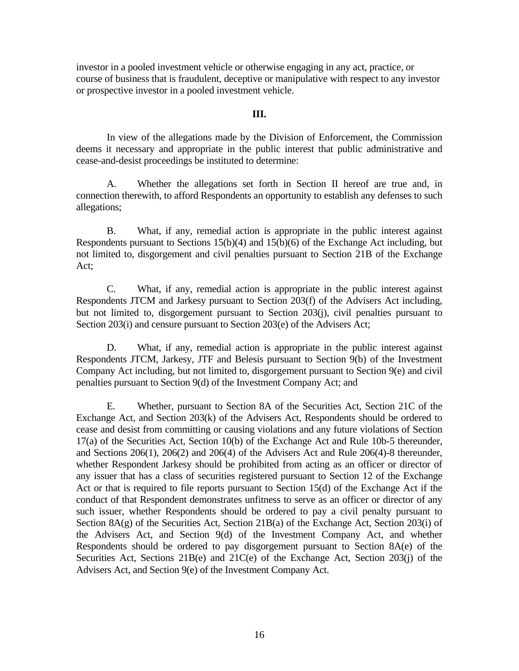investor in a pooled investment vehicle or otherwise engaging in any act, practice, or course of business that is fraudulent, deceptive or manipulative with respect to any investor or prospective investor in a pooled investment vehicle.

#### **III.**

In view of the allegations made by the Division of Enforcement, the Commission deems it necessary and appropriate in the public interest that public administrative and cease-and-desist proceedings be instituted to determine:

A. Whether the allegations set forth in Section II hereof are true and, in connection therewith, to afford Respondents an opportunity to establish any defenses to such allegations;

B. What, if any, remedial action is appropriate in the public interest against Respondents pursuant to Sections 15(b)(4) and 15(b)(6) of the Exchange Act including, but not limited to, disgorgement and civil penalties pursuant to Section 21B of the Exchange Act;

C. What, if any, remedial action is appropriate in the public interest against Respondents JTCM and Jarkesy pursuant to Section 203(f) of the Advisers Act including, but not limited to, disgorgement pursuant to Section 203(j), civil penalties pursuant to Section 203(i) and censure pursuant to Section 203(e) of the Advisers Act;

D. What, if any, remedial action is appropriate in the public interest against Respondents JTCM, Jarkesy, JTF and Belesis pursuant to Section 9(b) of the Investment Company Act including, but not limited to, disgorgement pursuant to Section 9(e) and civil penalties pursuant to Section 9(d) of the Investment Company Act; and

E. Whether, pursuant to Section 8A of the Securities Act, Section 21C of the Exchange Act, and Section 203(k) of the Advisers Act, Respondents should be ordered to cease and desist from committing or causing violations and any future violations of Section 17(a) of the Securities Act, Section 10(b) of the Exchange Act and Rule 10b-5 thereunder, and Sections 206(1), 206(2) and 206(4) of the Advisers Act and Rule 206(4)-8 thereunder, whether Respondent Jarkesy should be prohibited from acting as an officer or director of any issuer that has a class of securities registered pursuant to Section 12 of the Exchange Act or that is required to file reports pursuant to Section 15(d) of the Exchange Act if the conduct of that Respondent demonstrates unfitness to serve as an officer or director of any such issuer, whether Respondents should be ordered to pay a civil penalty pursuant to Section 8A(g) of the Securities Act, Section 21B(a) of the Exchange Act, Section 203(i) of the Advisers Act, and Section 9(d) of the Investment Company Act, and whether Respondents should be ordered to pay disgorgement pursuant to Section 8A(e) of the Securities Act, Sections 21B(e) and 21C(e) of the Exchange Act, Section 203(j) of the Advisers Act, and Section 9(e) of the Investment Company Act.